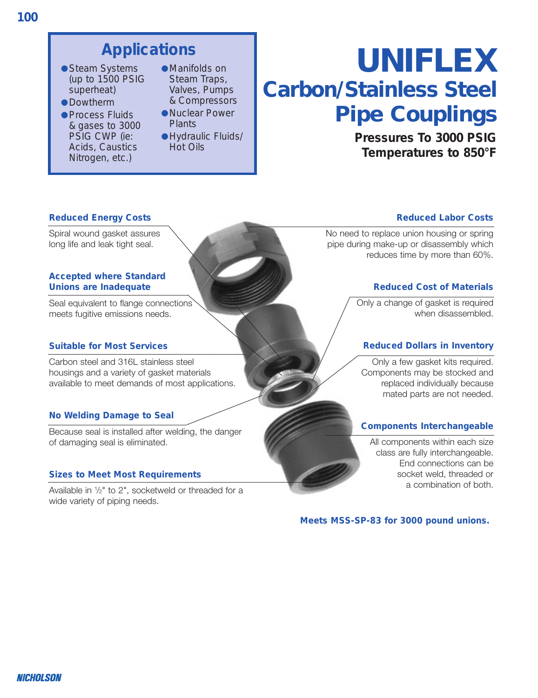# **Applications**

- Steam Systems (up to 1500 PSIG superheat)
- ●Dowtherm
- Process Fluids & gases to 3000 PSIG CWP (ie: Acids, Caustics Nitrogen, etc.)
- ●Manifolds on Steam Traps, Valves, Pumps & Compressors
- ●Nuclear Power **Plants**
- ●Hydraulic Fluids/ Hot Oils

# *UNIFLEX Carbon/Stainless Steel Pipe Couplings*

**Pressures To 3000 PSIG Temperatures to 850°F**

#### **Reduced Energy Costs**

Spiral wound gasket assures long life and leak tight seal.

#### **Accepted where Standard Unions are Inadequate**

Seal equivalent to flange connections meets fugitive emissions needs.

#### **Suitable for Most Services**

Carbon steel and 316L stainless steel housings and a variety of gasket materials available to meet demands of most applications.

#### **No Welding Damage to Seal**

Because seal is installed after welding, the danger of damaging seal is eliminated.

#### **Sizes to Meet Most Requirements**

Available in <sup>1</sup> /2" to 2", socketweld or threaded for a wide variety of piping needs.

#### **Reduced Labor Costs**

No need to replace union housing or spring pipe during make-up or disassembly which reduces time by more than 60%.

#### **Reduced Cost of Materials**

Only a change of gasket is required when disassembled.

#### **Reduced Dollars in Inventory**

Only a few gasket kits required. Components may be stocked and replaced individually because mated parts are not needed.

#### **Components Interchangeable**

All components within each size class are fully interchangeable. End connections can be socket weld, threaded or a combination of both.

**Meets MSS-SP-83 for 3000 pound unions.**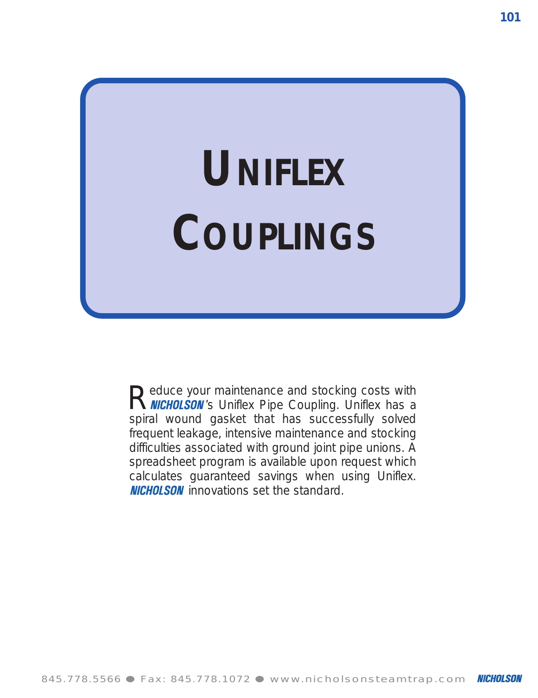# **UNIFLEX COUPLINGS**

Reduce your maintenance and stocking costs with<br> **R NICHOLSON**'s Uniflex Pipe Coupling. Uniflex has a spiral wound gasket that has successfully solved frequent leakage, intensive maintenance and stocking difficulties associated with ground joint pipe unions. A spreadsheet program is available upon request which calculates guaranteed savings when using Uniflex. **NICHOLSON** innovations set the standard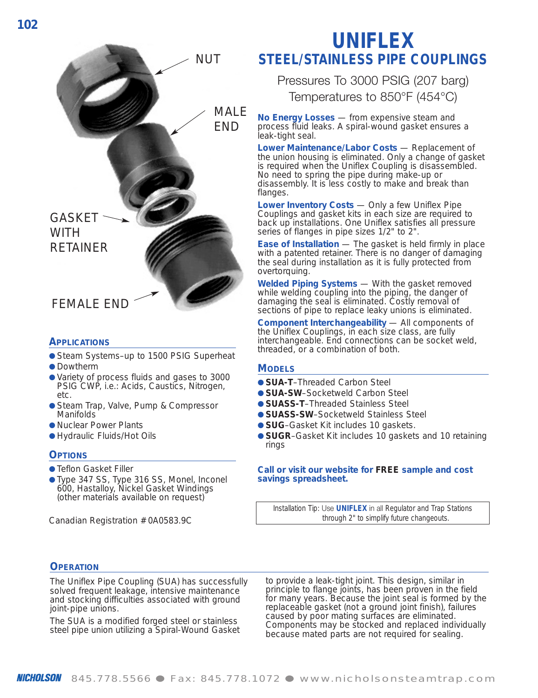

#### **APPLICATIONS**

- Steam Systems-up to 1500 PSIG Superheat
- Dowtherm
- Variety of process fluids and gases to 3000 PSIG CWP, i.e.: Acids, Caustics, Nitrogen, etc.
- Steam Trap, Valve, Pump & Compressor Manifolds
- Nuclear Power Plants
- Hydraulic Fluids/Hot Oils

#### **OPTIONS**

- Teflon Gasket Filler
- Type 347 SS, Type 316 SS, Monel, Inconel 600, Hastalloy, Nickel Gasket Windings (other materials available on request)

Canadian Registration # 0A0583.9C

## **UNIFLEX STEEL/STAINLESS PIPE COUPLINGS**

Pressures To 3000 PSIG (207 barg) Temperatures to 850°F (454°C)

**No Energy Losses** — from expensive steam and process fluid leaks. A spiral-wound gasket ensures a leak-tight seal.

**Lower Maintenance/Labor Costs** — Replacement of the union housing is eliminated. Only a change of gasket is required when the Uniflex Coupling is disassembled. No need to spring the pipe during make-up or disassembly. It is less costly to make and break than flanges.

**Lower Inventory Costs** — Only a few Uniflex Pipe Couplings and gasket kits in each size are required to back up installations. One Uniflex satisfies all pressure series of flanges in pipe sizes 1/2" to 2".

**Ease of Installation** — The gasket is held firmly in place with a patented retainer. There is no danger of damaging the seal during installation as it is fully protected from overtorquing.

**Welded Piping Systems** — With the gasket removed while welding coupling into the piping, the danger of damaging the seal is eliminated. Costly removal of sections of pipe to replace leaky unions is eliminated.

**Component Interchangeability** — All components of the Uniflex Couplings, in each size class, are fully interchangeable. End connections can be socket weld, threaded, or <sup>a</sup> combination of both.

#### **MODELS**

- **SUA-T**–Threaded Carbon Steel
- **SUA-SW**–Socketweld Carbon Steel
- **SUASS-T**–Threaded Stainless Steel
- **SUASS-SW-Socketweld Stainless Steel**
- **SUG**–Gasket Kit includes 10 gaskets.
- **SUGR**–Gasket Kit includes 10 gaskets and 10 retaining rings

#### **Call or visit our website for** *FREE* **sample and cost savings spreadsheet.**

*Installation Tip:* Use **UNIFLEX** in all *Regulator and Trap Stations through 2" to simplify future changeouts.*

#### **OPERATION**

The Uniflex Pipe Coupling (SUA) has successfully solved frequent leakage, intensive maintenance and stocking difficulties associated with ground joint-pipe unions.

The SUA is a modified forged steel or stainless steel pipe union utilizing a Spiral-Wound Gasket to provide a leak-tight joint. This design, similar in principle to flange joints, has been proven in the field for many years. Because the joint seal is formed by the replaceable gasket (not a ground joint finish), failures caused by poor mating surfaces are eliminated. Components may be stocked and replaced individually because mated parts are not required for sealing.